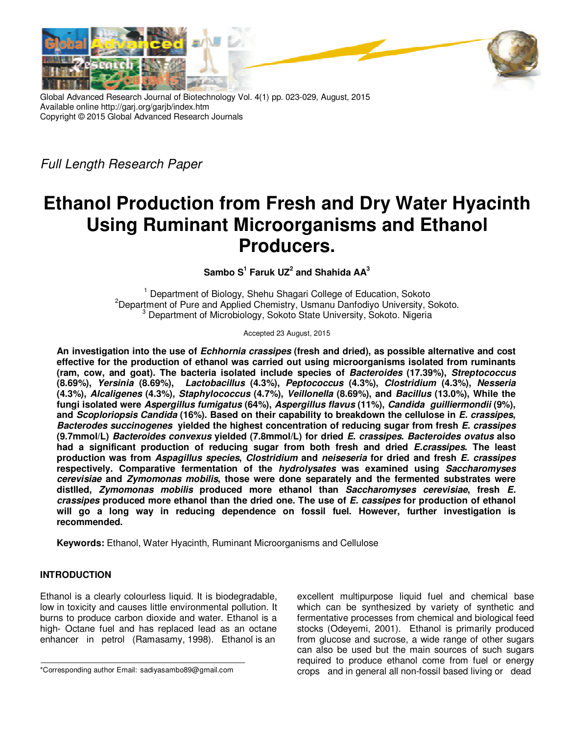

Global Advanced Research Journal of Biotechnology Vol. 4(1) pp. 023-029, August, 2015 Available online http://garj.org/garjb/index.htm Copyright © 2015 Global Advanced Research Journals

Full Length Research Paper

# **Ethanol Production from Fresh and Dry Water Hyacinth Using Ruminant Microorganisms and Ethanol Producers.**

**Sambo S<sup>1</sup> Faruk UZ<sup>2</sup> and Shahida AA<sup>3</sup>**

<sup>1</sup> Department of Biology, Shehu Shagari College of Education, Sokoto <sup>2</sup>Department of Pure and Applied Chemistry, Usmanu Danfodiyo University, Sokoto. 3 Department of Microbiology, Sokoto State University, Sokoto. Nigeria

Accepted 23 August, 2015

**An investigation into the use of Echhornia crassipes (fresh and dried), as possible alternative and cost effective for the production of ethanol was carried out using microorganisms isolated from ruminants (ram, cow, and goat). The bacteria isolated include species of Bacteroides (17.39%), Streptococcus (8.69%), Yersinia (8.69%), Lactobacillus (4.3%), Peptococcus (4.3%), Clostridium (4.3%), Nesseria (4.3%), Alcaligenes (4.3%), Staphylococcus (4.7%), Veillonella (8.69%), and Bacillus (13.0%), While the fungi isolated were Aspergillus fumigatus (64%), Aspergillus flavus (11%), Candida guilliermondii (9%), and Scoploriopsis Candida (16%). Based on their capability to breakdown the cellulose in E. crassipes, Bacterodes succinogenes yielded the highest concentration of reducing sugar from fresh E. crassipes (9.7mmol/L) Bacteroides convexus yielded (7.8mmol/L) for dried E. crassipes. Bacteroides ovatus also had a significant production of reducing sugar from both fresh and dried E.crassipes. The least production was from Aspagillus species, Clostridium and neiseseria for dried and fresh E. crassipes respectively. Comparative fermentation of the hydrolysates was examined using Saccharomyses cerevisiae and Zymomonas mobilis, those were done separately and the fermented substrates were distlled, Zymomonas mobilis produced more ethanol than Saccharomyses cerevisiae, fresh E. crassipes produced more ethanol than the dried one. The use of E. cassipes for production of ethanol will go a long way in reducing dependence on fossil fuel. However, further investigation is recommended.** 

**Keywords:** Ethanol, Water Hyacinth, Ruminant Microorganisms and Cellulose

# **INTRODUCTION**

Ethanol is a clearly colourless liquid. It is biodegradable, low in toxicity and causes little environmental pollution. It burns to produce carbon dioxide and water. Ethanol is a high- Octane fuel and has replaced lead as an octane enhancer in petrol (Ramasamy, 1998). Ethanol is an

\*Corresponding author Email: sadiyasambo89@gmail.com

excellent multipurpose liquid fuel and chemical base which can be synthesized by variety of synthetic and fermentative processes from chemical and biological feed stocks (Odeyemi, 2001). Ethanol is primarily produced from glucose and sucrose, a wide range of other sugars can also be used but the main sources of such sugars required to produce ethanol come from fuel or energy crops and in general all non-fossil based living or dead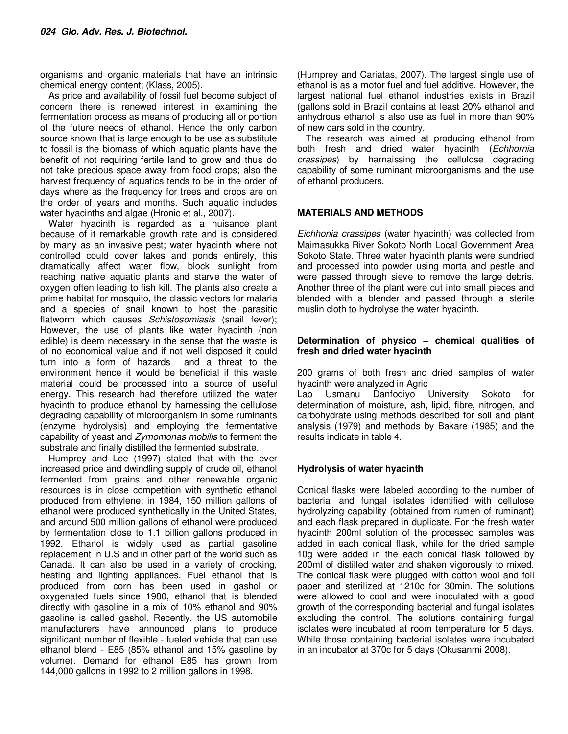organisms and organic materials that have an intrinsic chemical energy content; (Klass, 2005).

As price and availability of fossil fuel become subject of concern there is renewed interest in examining the fermentation process as means of producing all or portion of the future needs of ethanol. Hence the only carbon source known that is large enough to be use as substitute to fossil is the biomass of which aquatic plants have the benefit of not requiring fertile land to grow and thus do not take precious space away from food crops; also the harvest frequency of aquatics tends to be in the order of days where as the frequency for trees and crops are on the order of years and months. Such aquatic includes water hyacinths and algae (Hronic et al., 2007).

Water hyacinth is regarded as a nuisance plant because of it remarkable growth rate and is considered by many as an invasive pest; water hyacinth where not controlled could cover lakes and ponds entirely, this dramatically affect water flow, block sunlight from reaching native aquatic plants and starve the water of oxygen often leading to fish kill. The plants also create a prime habitat for mosquito, the classic vectors for malaria and a species of snail known to host the parasitic flatworm which causes Schistosomiasis (snail fever); However, the use of plants like water hyacinth (non edible) is deem necessary in the sense that the waste is of no economical value and if not well disposed it could turn into a form of hazards and a threat to the environment hence it would be beneficial if this waste material could be processed into a source of useful energy. This research had therefore utilized the water hyacinth to produce ethanol by harnessing the cellulose degrading capability of microorganism in some ruminants (enzyme hydrolysis) and employing the fermentative capability of yeast and Zymomonas mobilis to ferment the substrate and finally distilled the fermented substrate.

Humprey and Lee (1997) stated that with the ever increased price and dwindling supply of crude oil, ethanol fermented from grains and other renewable organic resources is in close competition with synthetic ethanol produced from ethylene; in 1984, 150 million gallons of ethanol were produced synthetically in the United States, and around 500 million gallons of ethanol were produced by fermentation close to 1.1 billion gallons produced in 1992. Ethanol is widely used as partial gasoline replacement in U.S and in other part of the world such as Canada. It can also be used in a variety of crocking, heating and lighting appliances. Fuel ethanol that is produced from corn has been used in gashol or oxygenated fuels since 1980, ethanol that is blended directly with gasoline in a mix of 10% ethanol and 90% gasoline is called gashol. Recently, the US automobile manufacturers have announced plans to produce significant number of flexible - fueled vehicle that can use ethanol blend - E85 (85% ethanol and 15% gasoline by volume). Demand for ethanol E85 has grown from 144,000 gallons in 1992 to 2 million gallons in 1998.

(Humprey and Cariatas, 2007). The largest single use of ethanol is as a motor fuel and fuel additive. However, the largest national fuel ethanol industries exists in Brazil (gallons sold in Brazil contains at least 20% ethanol and anhydrous ethanol is also use as fuel in more than 90% of new cars sold in the country.

The research was aimed at producing ethanol from both fresh and dried water hyacinth (Echhornia crassipes) by harnaissing the cellulose degrading capability of some ruminant microorganisms and the use of ethanol producers.

## **MATERIALS AND METHODS**

Eichhonia crassipes (water hyacinth) was collected from Maimasukka River Sokoto North Local Government Area Sokoto State. Three water hyacinth plants were sundried and processed into powder using morta and pestle and were passed through sieve to remove the large debris. Another three of the plant were cut into small pieces and blended with a blender and passed through a sterile muslin cloth to hydrolyse the water hyacinth.

#### **Determination of physico – chemical qualities of fresh and dried water hyacinth**

200 grams of both fresh and dried samples of water hyacinth were analyzed in Agric

Lab Usmanu Danfodiyo University Sokoto for determination of moisture, ash, lipid, fibre, nitrogen, and carbohydrate using methods described for soil and plant analysis (1979) and methods by Bakare (1985) and the results indicate in table 4.

## **Hydrolysis of water hyacinth**

Conical flasks were labeled according to the number of bacterial and fungal isolates identified with cellulose hydrolyzing capability (obtained from rumen of ruminant) and each flask prepared in duplicate. For the fresh water hyacinth 200ml solution of the processed samples was added in each conical flask, while for the dried sample 10g were added in the each conical flask followed by 200ml of distilled water and shaken vigorously to mixed. The conical flask were plugged with cotton wool and foil paper and sterilized at 1210c for 30min. The solutions were allowed to cool and were inoculated with a good growth of the corresponding bacterial and fungal isolates excluding the control. The solutions containing fungal isolates were incubated at room temperature for 5 days. While those containing bacterial isolates were incubated in an incubator at 370c for 5 days (Okusanmi 2008).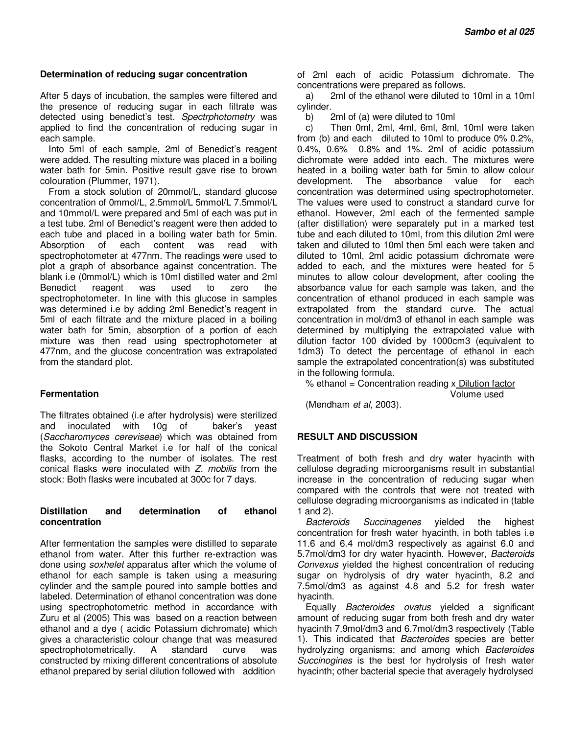#### **Determination of reducing sugar concentration**

After 5 days of incubation, the samples were filtered and the presence of reducing sugar in each filtrate was detected using benedict's test. Spectrphotometry was applied to find the concentration of reducing sugar in each sample.

Into 5ml of each sample, 2ml of Benedict's reagent were added. The resulting mixture was placed in a boiling water bath for 5min. Positive result gave rise to brown colouration (Plummer, 1971).

From a stock solution of 20mmol/L, standard glucose concentration of 0mmol/L, 2.5mmol/L 5mmol/L 7.5mmol/L and 10mmol/L were prepared and 5ml of each was put in a test tube. 2ml of Benedict's reagent were then added to each tube and placed in a boiling water bath for 5min. Absorption of each content was read with spectrophotometer at 477nm. The readings were used to plot a graph of absorbance against concentration. The blank i.e (0mmol/L) which is 10ml distilled water and 2ml Benedict reagent was used to zero the spectrophotometer. In line with this glucose in samples was determined i.e by adding 2ml Benedict's reagent in 5ml of each filtrate and the mixture placed in a boiling water bath for 5min, absorption of a portion of each mixture was then read using spectrophotometer at 477nm, and the glucose concentration was extrapolated from the standard plot.

## **Fermentation**

The filtrates obtained (i.e after hydrolysis) were sterilized and inoculated with 10g of baker's yeast (Saccharomyces cereviseae) which was obtained from the Sokoto Central Market i.e for half of the conical flasks, according to the number of isolates. The rest conical flasks were inoculated with Z. mobilis from the stock: Both flasks were incubated at 300c for 7 days.

## **Distillation and determination of ethanol concentration**

After fermentation the samples were distilled to separate ethanol from water. After this further re-extraction was done using soxhelet apparatus after which the volume of ethanol for each sample is taken using a measuring cylinder and the sample poured into sample bottles and labeled. Determination of ethanol concentration was done using spectrophotometric method in accordance with Zuru et al (2005) This was based on a reaction between ethanol and a dye ( acidic Potassium dichromate) which gives a characteristic colour change that was measured spectrophotometrically. A standard curve was constructed by mixing different concentrations of absolute ethanol prepared by serial dilution followed with addition

of 2ml each of acidic Potassium dichromate. The concentrations were prepared as follows.

a) 2ml of the ethanol were diluted to 10ml in a 10ml cylinder.

b) 2ml of (a) were diluted to 10ml

c) Then 0ml, 2ml, 4ml, 6ml, 8ml, 10ml were taken from (b) and each diluted to 10ml to produce 0% 0.2%, 0.4%, 0.6% 0.8% and 1%. 2ml of acidic potassium dichromate were added into each. The mixtures were heated in a boiling water bath for 5min to allow colour development. The absorbance value for each concentration was determined using spectrophotometer. The values were used to construct a standard curve for ethanol. However, 2ml each of the fermented sample (after distillation) were separately put in a marked test tube and each diluted to 10ml, from this dilution 2ml were taken and diluted to 10ml then 5ml each were taken and diluted to 10ml, 2ml acidic potassium dichromate were added to each, and the mixtures were heated for 5 minutes to allow colour development, after cooling the absorbance value for each sample was taken, and the concentration of ethanol produced in each sample was extrapolated from the standard curve. The actual concentration in mol/dm3 of ethanol in each sample was determined by multiplying the extrapolated value with dilution factor 100 divided by 1000cm3 (equivalent to 1dm3) To detect the percentage of ethanol in each sample the extrapolated concentration(s) was substituted in the following formula.

 $%$  ethanol = Concentration reading x Dilution factor

Volume used

(Mendham et al, 2003).

## **RESULT AND DISCUSSION**

Treatment of both fresh and dry water hyacinth with cellulose degrading microorganisms result in substantial increase in the concentration of reducing sugar when compared with the controls that were not treated with cellulose degrading microorganisms as indicated in (table 1 and 2).

Bacteroids Succinagenes yielded the highest concentration for fresh water hyacinth, in both tables i.e 11.6 and 6.4 mol/dm3 respectively as against 6.0 and 5.7mol/dm3 for dry water hyacinth. However, Bacteroids Convexus yielded the highest concentration of reducing sugar on hydrolysis of dry water hyacinth, 8.2 and 7.5mol/dm3 as against 4.8 and 5.2 for fresh water hyacinth.

Equally Bacteroides ovatus yielded a significant amount of reducing sugar from both fresh and dry water hyacinth 7.9mol/dm3 and 6.7mol/dm3 respectively (Table 1). This indicated that Bacteroides species are better hydrolyzing organisms; and among which Bacteroides Succinogines is the best for hydrolysis of fresh water hyacinth; other bacterial specie that averagely hydrolysed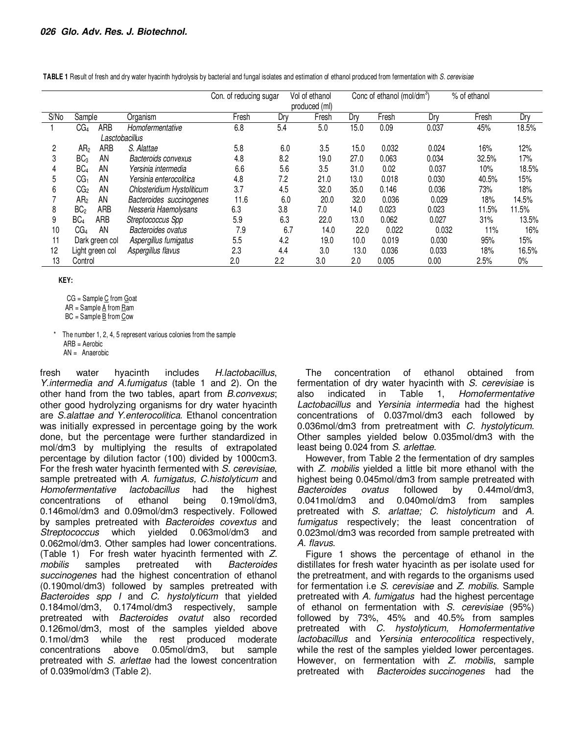|      |                 |                |                            | Con. of reducing sugar |     | Vol of ethanol<br>produced (ml) |      | Conc of ethanol (mol/dm <sup>3</sup> ) |       | % of ethanol |       |
|------|-----------------|----------------|----------------------------|------------------------|-----|---------------------------------|------|----------------------------------------|-------|--------------|-------|
| S/No | Sample          |                | Organism                   | Fresh                  | Drv | Fresh                           | Drv  | Fresh                                  | Drv   | Fresh        | Dry   |
|      | CG <sub>4</sub> | ARB            | Homofermentative           | 6.8                    | 5.4 | 5.0                             | 15.0 | 0.09                                   | 0.037 | 45%          | 18.5% |
|      |                 | Lasctobacillus |                            |                        |     |                                 |      |                                        |       |              |       |
| 2    | AR <sub>2</sub> | ARB            | S. Alattae                 | 5.8                    | 6.0 | 3.5                             | 15.0 | 0.032                                  | 0.024 | 16%          | 12%   |
| 3    | BC <sub>3</sub> | <b>AN</b>      | Bacteroids convexus        | 4.8                    | 8.2 | 19.0                            | 27.0 | 0.063                                  | 0.034 | 32.5%        | 17%   |
| 4    | BC <sub>4</sub> | <b>AN</b>      | Yersinia intermedia        | 6.6                    | 5.6 | 3.5                             | 31.0 | 0.02                                   | 0.037 | 10%          | 18.5% |
| 5    | CG <sub>1</sub> | <b>AN</b>      | Yersinia enterocolitica    | 4.8                    | 7.2 | 21.0                            | 13.0 | 0.018                                  | 0.030 | 40.5%        | 15%   |
| 6    | CG <sub>2</sub> | <b>AN</b>      | Chlosteridium Hystoliticum | 3.7                    | 4.5 | 32.0                            | 35.0 | 0.146                                  | 0.036 | 73%          | 18%   |
|      | AR <sub>2</sub> | AN             | Bacteroides succinogenes   | 11.6                   | 6.0 | 20.0                            | 32.0 | 0.036                                  | 0.029 | 18%          | 14.5% |
| 8    | BC <sub>2</sub> | ARB            | Nesseria Haemolysans       | 6.3                    | 3.8 | 7.0                             | 14.0 | 0.023                                  | 0.023 | 11.5%        | 11.5% |
| 9    | BC <sub>4</sub> | ARB            | Streptococcus Spp          | 5.9                    | 6.3 | 22.0                            | 13.0 | 0.062                                  | 0.027 | 31%          | 13.5% |
| 10   | CG <sub>4</sub> | AN             | Bacteroides ovatus         | 7.9                    | 6.7 | 14.0                            | 22.0 | 0.022                                  | 0.032 | 11%          | 16%   |
| 11   | Dark green col  |                | Aspergillus fumigatus      | 5.5                    | 4.2 | 19.0                            | 10.0 | 0.019                                  | 0.030 | 95%          | 15%   |
| 12   | Light green col |                | Aspergillus flavus         | 2.3                    | 4.4 | 3.0                             | 13.0 | 0.036                                  | 0.033 | 18%          | 16.5% |
| 13   | Control         |                |                            | 2.0                    | 2.2 | 3.0                             | 2.0  | 0.005                                  | 0.00  | 2.5%         | 0%    |

 **TABLE 1** Result of fresh and dry water hyacinth hydrolysis by bacterial and fungal isolates and estimation of ethanol produced from fermentation with S. cerevisiae

#### **KEY:**

CG = Sample C from Goat

AR = Sample A from Ram

 $BC = Sample B$  from  $C$ ow

\* The number 1, 2, 4, 5 represent various colonies from the sample  $ARB =$ Aerobic AN = Anaerobic

fresh water hyacinth includes H.lactobacillus, Y.intermedia and A.fumigatus (table 1 and 2). On the other hand from the two tables, apart from *B.convexus*; other good hydrolyzing organisms for dry water hyacinth are S.alattae and Y.enterocolitica. Ethanol concentration was initially expressed in percentage going by the work done, but the percentage were further standardized in mol/dm3 by multiplying the results of extrapolated percentage by dilution factor (100) divided by 1000cm3. For the fresh water hyacinth fermented with S. cerevisiae, sample pretreated with A. fumigatus, C.histolyticum and<br>Homofermentative lactobacillus had the highest Homofermentative lactobacillus had the highest concentrations of ethanol being 0.19mol/dm3, 0.146mol/dm3 and 0.09mol/dm3 respectively. Followed by samples pretreated with Bacteroides covextus and Streptococcus which yielded 0.063mol/dm3 and 0.062mol/dm3. Other samples had lower concentrations. (Table 1) For fresh water hyacinth fermented with Z. mobilis samples pretreated with Bacteroides succinogenes had the highest concentration of ethanol (0.190mol/dm3) followed by samples pretreated with Bacteroides spp I and C. hystolyticum that yielded 0.184mol/dm3, 0.174mol/dm3 respectively, sample pretreated with Bacteroides ovatut also recorded 0.126mol/dm3, most of the samples yielded above 0.1mol/dm3 while the rest produced moderate concentrations above 0.05mol/dm3, but sample pretreated with S. arlettae had the lowest concentration of 0.039mol/dm3 (Table 2).

The concentration of ethanol obtained from fermentation of dry water hyacinth with S. cerevisiae is also indicated in Table 1, Homofermentative Lactobacillus and Yersinia intermedia had the highest concentrations of 0.037mol/dm3 each followed by 0.036mol/dm3 from pretreatment with C. hystolyticum. Other samples yielded below 0.035mol/dm3 with the least being 0.024 from S. arlettae.

However, from Table 2 the fermentation of dry samples with Z. mobilis yielded a little bit more ethanol with the highest being 0.045mol/dm3 from sample pretreated with<br>Bacteroides ovatus followed by 0.44mol/dm3. ovatus followed by 0.44mol/dm3, 0.041mol/dm3 and 0.040mol/dm3 from samples pretreated with S. arlattae; C. histolyticum and A. fumigatus respectively; the least concentration of 0.023mol/dm3 was recorded from sample pretreated with A. flavus.

Figure 1 shows the percentage of ethanol in the distillates for fresh water hyacinth as per isolate used for the pretreatment, and with regards to the organisms used for fermentation i.e S. cerevisiae and Z. mobilis. Sample pretreated with A. fumigatus had the highest percentage of ethanol on fermentation with S. cerevisiae (95%) followed by 73%, 45% and 40.5% from samples pretreated with C. hystolyticum, Homofermentative lactobacillus and Yersinia enterocolitica respectively, while the rest of the samples yielded lower percentages. However, on fermentation with Z. mobilis, sample pretreated with *Bacteroides succinogenes* had the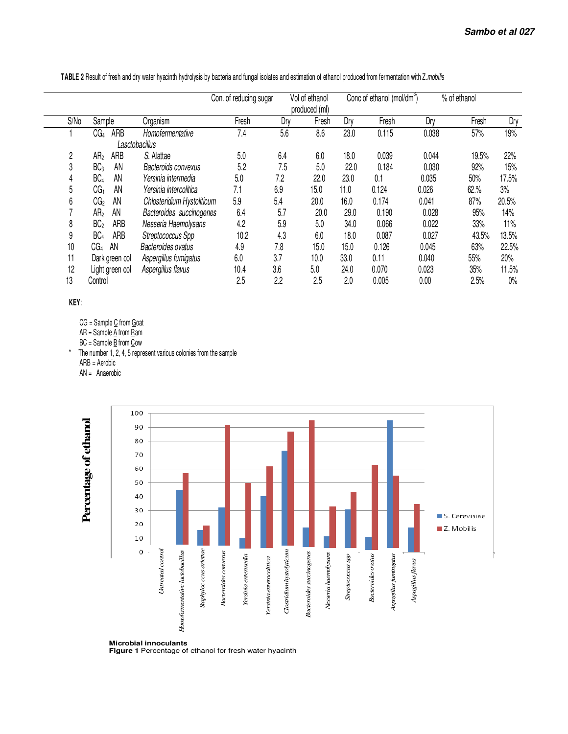Con. of reducing sugar Vol of ethanol Conc of ethanol  $(mol/dm<sup>3</sup>)$ ) % of ethanol produced (ml) S/No Sample Organism Fresh Dry Fresh Dry Fresh Dry Fresh Dry 1 CG4 ARB Homofermentative 7.4 5.6 8.6 23.0 0.115 0.038 57% 19% **Lasctobacillus**  2 AR2 ARB S. Alattae 5.0 6.4 6.0 18.0 0.039 0.044 19.5% 22% 3 BC3 AN Bacteroids convexus 5.2 7.5 5.0 22.0 0.184 0.030 92% 15% 4 BC4 AN Yersinia intermedia 5.0 7.2 22.0 23.0 0.1 0.035 50% 17.5% 5 CG<sub>1</sub> and *tersinia intercolitica* 7.1 6.9 15.0 11.0 0.124 0.026 62.% 3% 6 CG2 AN Chlosteridium Hystoliticum 5.9 5.4 20.0 16.0 0.174 0.041 87% 20.5% 7 AR2 AN Bacteroides succinogenes 6.4 5.7 20.0 29.0 0.190 0.028 95% 14% 8 BC2 ARB Nesseria Haemolysans 4.2 5.9 5.0 34.0 0.066 0.022 33% 11% 9 BC4 ARB Streptococcus Spp 10.2 4.3 6.0 18.0 0.087 0.027 43.5% 13.5% 10 CG4 AN Bacteroides ovatus 4.9 7.8 15.0 15.0 0.126 0.045 63% 22.5% 11 Dark green col Aspergillus fumigatus 6.0 3.7 10.0 33.0 0.11 0.040 55% 20% 12 Light green col Aspergillus flavus 10.4 3.6 5.0 24.0 0.070 0.023 35% 11.5% 13 Control 2.5 2.2 2.5 2.0 0.005 0.00 2.5% 0%

 **TABLE 2** Result of fresh and dry water hyacinth hydrolysis by bacteria and fungal isolates and estimation of ethanol produced from fermentation with Z.mobilis

# **KEY**:

CG = Sample C from Goat

AR = Sample A from Ram

BC = Sample B from Cow

The number 1, 2, 4, 5 represent various colonies from the sample ARB = Aerobic

AN = Anaerobic



#### **Microbial innoculants**

**Figure 1** Percentage of ethanol for fresh water hyacinth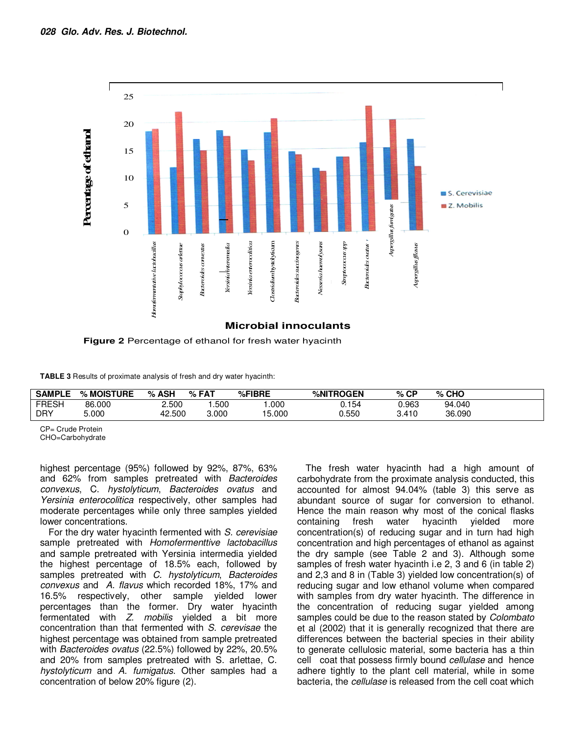

**TABLE 3** Results of proximate analysis of fresh and dry water hyacinth:

| <b>SAMPLE</b> | % MOISTURE | . ASH<br>%. | $%$ FAT $%$ | %FIBRE | %NITROGEN | $%$ CP | $%$ CHO |
|---------------|------------|-------------|-------------|--------|-----------|--------|---------|
| <b>FRESH</b>  | 86.000     | 2.500       | .500        | .000   | 0.154     | 0.963  | 94.040  |
| <b>DRY</b>    | 5.000      | 42.500      | ،000        | 5.000  | ა.550     | 3.410  | 36.090  |

CP= Crude Protein

CHO=Carbohydrate

highest percentage (95%) followed by 92%, 87%, 63% and 62% from samples pretreated with Bacteroides convexus, C. hystolyticum, Bacteroides ovatus and Yersinia enterocolitica respectively, other samples had moderate percentages while only three samples yielded lower concentrations.

For the dry water hyacinth fermented with S. cerevisiae sample pretreated with Homofermenttive lactobacillus and sample pretreated with Yersinia intermedia yielded the highest percentage of 18.5% each, followed by samples pretreated with C. hystolyticum, Bacteroides convexus and A. flavus which recorded 18%, 17% and 16.5% respectively, other sample yielded lower percentages than the former. Dry water hyacinth fermentated with Z. mobilis yielded a bit more concentration than that fermented with S. cerevisae the highest percentage was obtained from sample pretreated with Bacteroides ovatus (22.5%) followed by 22%, 20.5% and 20% from samples pretreated with S. arlettae, C. hystolyticum and A. fumigatus. Other samples had a concentration of below 20% figure (2).

The fresh water hyacinth had a high amount of carbohydrate from the proximate analysis conducted, this accounted for almost 94.04% (table 3) this serve as abundant source of sugar for conversion to ethanol. Hence the main reason why most of the conical flasks containing fresh water hyacinth yielded more concentration(s) of reducing sugar and in turn had high concentration and high percentages of ethanol as against the dry sample (see Table 2 and 3). Although some samples of fresh water hyacinth i.e 2, 3 and 6 (in table 2) and 2,3 and 8 in (Table 3) yielded low concentration(s) of reducing sugar and low ethanol volume when compared with samples from dry water hyacinth. The difference in the concentration of reducing sugar yielded among samples could be due to the reason stated by *Colombato* et al (2002) that it is generally recognized that there are differences between the bacterial species in their ability to generate cellulosic material, some bacteria has a thin cell coat that possess firmly bound *cellulase* and hence adhere tightly to the plant cell material, while in some bacteria, the cellulase is released from the cell coat which